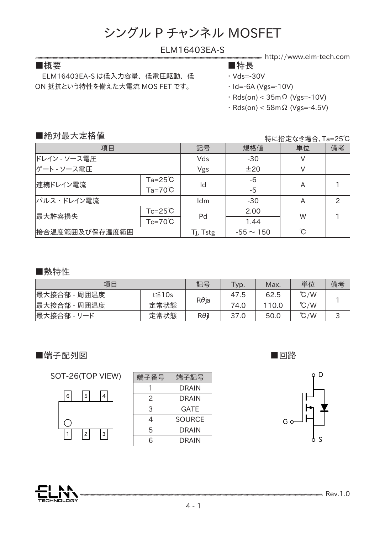### ELM16403EA-S

■概要 ■特長

 ELM16403EA-S は低入力容量、 低電圧駆動、 低 ON 抵抗という特性を備えた大電流 MOS FET です。

http://www.elm-tech.com

- ・ Vds=-30V
- ・ Id=-6A (Vgs=-10V)
- ・ Rds(on) < 35mΩ (Vgs=-10V)
- ・ Rds(on) < 58mΩ (Vgs=-4.5V)

### ■絶対最大定格値

特に指定なき場合、Ta=25℃

| 項目             |                    | 記号       | 規格値            | 単位 | 備考 |
|----------------|--------------------|----------|----------------|----|----|
| ドレイン - ソース電圧   |                    | Vds      | $-30$          | V  |    |
| ゲート - ソース電圧    |                    | Vgs      | ±20            | V  |    |
| 連続ドレイン電流       | $Ta = 25^{\circ}C$ | Id       | -6             |    |    |
|                | $Ta=70^{\circ}C$   |          | $-5$           | A  |    |
| パルス・ドレイン電流     |                    | Idm      | $-30$          | A  |    |
| 最大許容損失         | $Tc = 25^{\circ}C$ | Pd       | 2.00           | W  |    |
|                | $Tc=70^{\circ}C$   |          | 1.44           |    |    |
| 接合温度範囲及び保存温度範囲 |                    | Tj, Tstg | $-55 \sim 150$ | °C |    |

#### ■熱特性

| 項目           |              | 記号           | Typ. | Max. | 単位            | 備考 |  |
|--------------|--------------|--------------|------|------|---------------|----|--|
| 最大接合部 - 周囲温度 | $t \leq 10s$ | $R\theta$ ja | 47.5 | 62.5 | $\degree$ C/W |    |  |
| 最大接合部 - 周囲温度 | 定常状態         |              | 74.0 | 10.0 | $\degree$ C/W |    |  |
| 最大接合部 - リード  | 定常状態         | Rθil         | 37.0 | 50.0 | $\degree$ C/W | پ  |  |

### ■端子配列図

SOT-26(TOP VIEW)



| 端子記号          |  |  |
|---------------|--|--|
| <b>DRAIN</b>  |  |  |
| <b>DRAIN</b>  |  |  |
| GATE          |  |  |
| <b>SOURCE</b> |  |  |
| <b>DRAIN</b>  |  |  |
| <b>DRAIN</b>  |  |  |
|               |  |  |

■回路



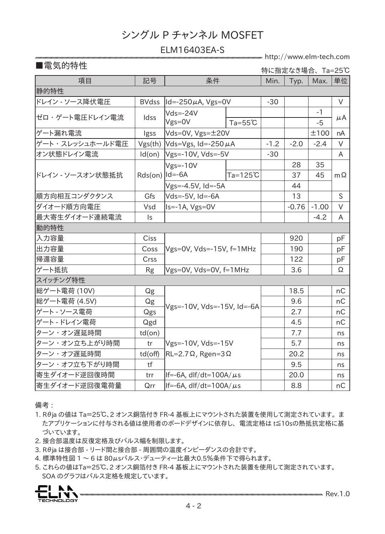### ELM16403EA-S

http://www.elm-tech.com

## ■電気的特性

特に指定なき場合、 Ta=25℃

| 項目               | 記号                 | 条件                                        |                    | Min.   | Typ.    | Max.    | 単位        |  |  |
|------------------|--------------------|-------------------------------------------|--------------------|--------|---------|---------|-----------|--|--|
| 静的特性             |                    |                                           |                    |        |         |         |           |  |  |
| ドレイン - ソース降伏電圧   | <b>BVdss</b>       | $ Id = -250 \mu A$ , Vgs=0V               |                    | $-30$  |         |         | $\vee$    |  |  |
| ゼロ・ゲート電圧ドレイン電流   | Idss               | $Vds = -24V$                              |                    |        |         | $-1$    |           |  |  |
|                  |                    | $Vgs = 0V$                                | $Ta = 55^{\circ}C$ |        |         | $-5$    | μA        |  |  |
| ゲート漏れ電流          | Igss               | Vds=0V, Vgs=±20V                          |                    |        |         | ±100    | nA        |  |  |
| ゲート・スレッシュホールド電圧  | Vgs(th)            | $ Vds=Vgs$ , Id=-250 $\mu$ A              |                    | $-1.2$ | $-2.0$  | $-2.4$  | $\vee$    |  |  |
| オン状態ドレイン電流       | Id(on)             | Vgs=-10V, Vds=-5V                         |                    | $-30$  |         |         | A         |  |  |
| ドレイン - ソースオン状態抵抗 | $Rds(on)$   Id=-6A | $Vgs = -10V$                              |                    |        | 28      | 35      | $m\Omega$ |  |  |
|                  |                    |                                           | $Ta=125^{\circ}C$  |        | 37      | 45      |           |  |  |
|                  |                    | Vgs=-4.5V, Id=-5A                         |                    |        | 44      |         |           |  |  |
| 順方向相互コンダクタンス     | Gfs                | Vds=-5V, Id=-6A                           |                    |        | 13      |         | S         |  |  |
| ダイオード順方向電圧       | Vsd                | $Is = -1A$ , $Vgs = 0V$                   |                    |        | $-0.76$ | $-1.00$ | $\vee$    |  |  |
| 最大寄生ダイオード連続電流    | $\mathsf{I}$ s     |                                           |                    |        |         | $-4.2$  | A         |  |  |
| <b> 動的特性</b>     |                    |                                           |                    |        |         |         |           |  |  |
| 入力容量             | Ciss               | $Vgs=0V$ , $Vds=-15V$ , $f=1MHz$          |                    |        | 920     |         | pF        |  |  |
| 出力容量             | Coss               |                                           |                    |        | 190     |         | pF        |  |  |
| 帰還容量             | Crss               |                                           |                    |        | 122     |         | pF        |  |  |
| ゲート抵抗            | <b>Rg</b>          | Vgs=0V, Vds=0V, f=1MHz                    |                    |        | 3.6     |         | Ω         |  |  |
| スイッチング特性         |                    |                                           |                    |        |         |         |           |  |  |
| 総ゲート電荷 (10V)     | Qg                 | Vgs=-10V, Vds=-15V, Id=-6A                |                    |        | 18.5    |         | nC        |  |  |
| 総ゲート電荷 (4.5V)    | Qg                 |                                           |                    |        | 9.6     |         | nC        |  |  |
| ゲート - ソース電荷      | Qgs                |                                           |                    |        | 2.7     |         | nC        |  |  |
| ゲート - ドレイン電荷     | Qgd                |                                           |                    |        | 4.5     |         | nC        |  |  |
| ターン・オン遅延時間       | $td($ on $)$       |                                           |                    |        | 7.7     |         | ns        |  |  |
| ターン・オン立ち上がり時間    | tr                 | Vgs=-10V, Vds=-15V                        |                    |        | 5.7     |         | ns        |  |  |
| ターン・オフ遅延時間       | $td($ off $)$      | $\vert$ RL=2.7 $\Omega$ , Rgen=3 $\Omega$ |                    |        | 20.2    |         | ns        |  |  |
| ターン・オフ立ち下がり時間    | tf                 |                                           |                    |        | 9.5     |         | ns        |  |  |
| 寄生ダイオード逆回復時間     | trr                | If=-6A, $df/dt=100A/\mu s$                |                    |        | 20.0    |         | ns        |  |  |
| 寄生ダイオード逆回復電荷量    | Qrr                | If=-6A, $df/dt=100A/\mu s$                |                    |        | 8.8     |         | nC        |  |  |

備考 :

- 1. Rθja の値は Ta=25℃、2 オンス銅箔付き FR-4 基板上にマウントされた装置を使用して測定されています。 ま たアプリケーションに付与される値は使用者のボードデザインに依存し、 電流定格は t≦10sの熱抵抗定格に基 づいています。
- 2. 接合部温度は反復定格及びパルス幅を制限します。
- 3. Rθja は接合部 リード間と接合部 周囲間の温度インピーダンスの合計です。
- 4. 標準特性図 1 ~ 6 は 80μsパルス・デューティー比最大0.5%条件下で得られます。
- 5. これらの値はTa=25℃、2 オンス銅箔付き FR-4 基板上にマウントされた装置を使用して測定されています。 SOA のグラフはパルス定格を規定しています。

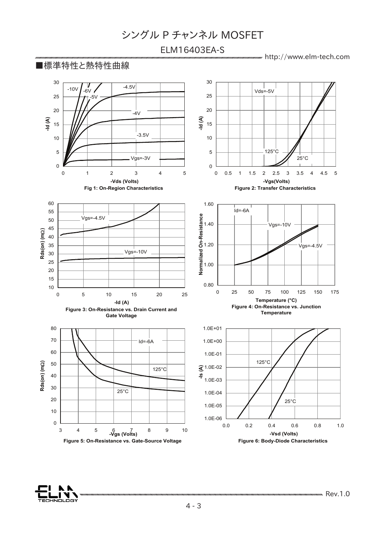# ELM16403EA-S

http://www.elm-tech.com



<u>есниогосу</u>